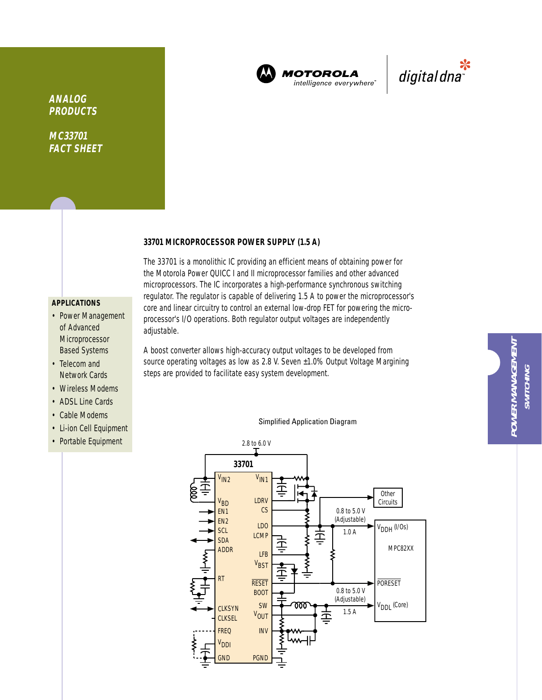

**MOTOROLA** intelligence everywhere



# **ANALOG PRODUCTS**

**MC33701 FACT SHEET**

#### **33701 MICROPROCESSOR POWER SUPPLY (1.5 A)**

## **APPLICATIONS**

- Power Management of Advanced Microprocessor Based Systems
- Telecom and Network Cards
- Wireless Modems
- ADSL Line Cards
- Cable Modems
- Li-ion Cell Equipment
- Portable Equipment

The 33701 is a monolithic IC providing an efficient means of obtaining power for the Motorola Power QUICC I and II microprocessor families and other advanced microprocessors. The IC incorporates a high-performance synchronous switching regulator. The regulator is capable of delivering 1.5 A to power the microprocessor's core and linear circuitry to control an external low-drop FET for powering the microprocessor's I/O operations. Both regulator output voltages are independently adjustable.

A boost converter allows high-accuracy output voltages to be developed from source operating voltages as low as 2.8 V. Seven ±1.0% Output Voltage Margining steps are provided to facilitate easy system development.



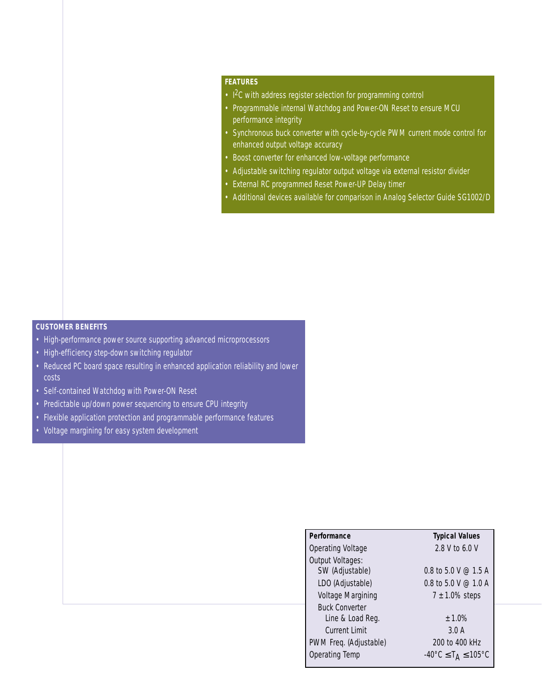## **FEATURES**

- I<sup>2</sup>C with address register selection for programming control
- Programmable internal Watchdog and Power-ON Reset to ensure MCU performance integrity
- Synchronous buck converter with cycle-by-cycle PWM current mode control for enhanced output voltage accuracy
- Boost converter for enhanced low-voltage performance
- Adjustable switching regulator output voltage via external resistor divider
- External RC programmed Reset Power-UP Delay timer
- Additional devices available for comparison in Analog Selector Guide SG1002/D

## **CUSTOMER BENEFITS**

- High-performance power source supporting advanced microprocessors
- High-efficiency step-down switching regulator
- Reduced PC board space resulting in enhanced application reliability and lower costs
- Self-contained Watchdog with Power-ON Reset
- Predictable up/down power sequencing to ensure CPU integrity
- Flexible application protection and programmable performance features
- Voltage margining for easy system development

| Performance              | <b>Typical Values</b>                                         |
|--------------------------|---------------------------------------------------------------|
| <b>Operating Voltage</b> | 2.8 V to 6.0 V                                                |
| Output Voltages:         |                                                               |
| SW (Adjustable)          | 0.8 to 5.0 V $\omega$ 1.5 A                                   |
| LDO (Adjustable)         | 0.8 to 5.0 V $\oslash$ 1.0 A                                  |
| Voltage Margining        | $7 \pm 1.0\%$ steps                                           |
| <b>Buck Converter</b>    |                                                               |
| Line & Load Reg.         | $± 1.0\%$                                                     |
| <b>Current Limit</b>     | 3.0A                                                          |
| PWM Freq. (Adjustable)   | 200 to 400 kHz                                                |
| <b>Operating Temp</b>    | $-40^{\circ}$ C $\leq$ T <sub>A</sub> $\leq$ 105 $^{\circ}$ C |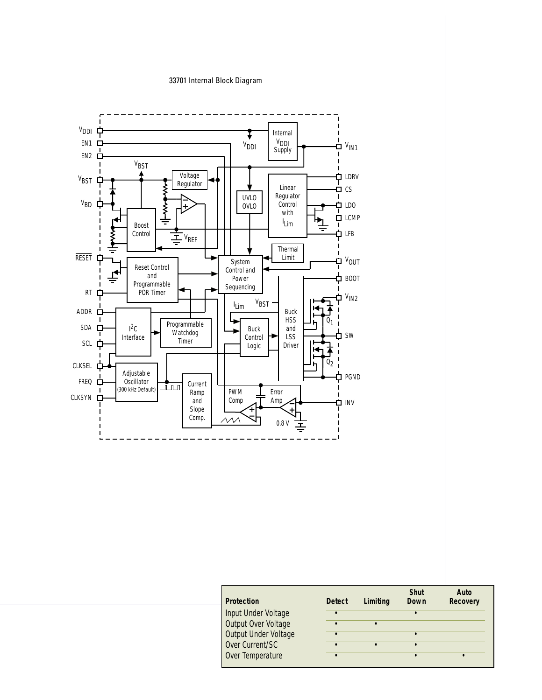#### 33701 Internal Block Diagram



| <b>Protection</b>    | <b>Detect</b> | Limiting | <b>Shut</b><br>Down | Auto<br><b>Recovery</b> |
|----------------------|---------------|----------|---------------------|-------------------------|
| Input Under Voltage  |               |          |                     |                         |
| Output Over Voltage  |               |          |                     |                         |
| Output Under Voltage |               |          |                     |                         |
| Over Current/SC      |               |          |                     |                         |
| Over Temperature     |               |          |                     |                         |